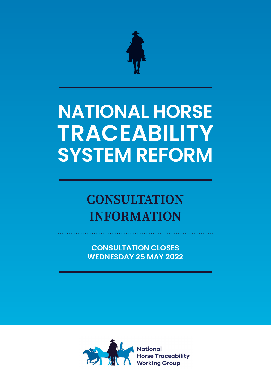

# **NATIONAL HORSE TRACEABILITY SYSTEM REFORM**

## **CONSULTATION INFORMATION**

**CONSULTATION CLOSES WEDNESDAY 25 MAY 2022**

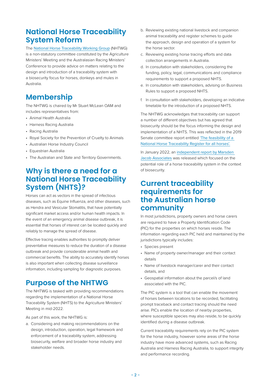## **National Horse Traceability System Reform**

The [National Horse Traceability Working Group](https://agriculture.vic.gov.au/livestock-and-animals/horses/horse-traceability#:%7E:text=The%20National%20Horse%20Traceability%20Working%20Group%20(NHTWG)%20is%20a%20non,donkeys%20and%20mules%20in%20Australia.) (NHTWG) is a non-statutory committee constituted by the Agriculture Ministers' Meeting and the Australasian Racing Ministers' Conference to provide advice on matters relating to the design and introduction of a traceability system with a biosecurity focus for horses, donkeys and mules in Australia.

## **Membership**

The NHTWG is chaired by Mr Stuart McLean OAM and includes representatives from:

- Animal Health Australia
- Harness Racing Australia
- Racing Australia
- Royal Society for the Prevention of Cruelty to Animals
- Australian Horse Industry Council
- Equestrian Australia
- The Australian and State and Territory Governments.

## **Why is there a need for a National Horse Traceability System (NHTS)?**

Horses can act as vectors in the spread of infectious diseases, such as Equine Influenza, and other diseases, such as Hendra and Vesicular Stomatitis, that have potentially significant market access and/or human health impacts. In the event of an emergency animal disease outbreak, it is essential that horses of interest can be located quickly and reliably to manage the spread of disease.

Effective tracing enables authorities to promptly deliver preventative measures to reduce the duration of a disease outbreak and provide considerable animal health and commercial benefits. The ability to accurately identify horses is also important when collecting disease surveillance information, including sampling for diagnostic purposes.

## **Purpose of the NHTWG**

The NHTWG is tasked with providing recommendations regarding the implementation of a National Horse Traceability System (NHTS) to the Agriculture Ministers' Meeting in mid-2022.

As part of this work, the NHTWG is:

a. Considering and making recommendations on the design, introduction, operation, legal framework and enforcement of a traceability system, addressing biosecurity, welfare and broader horse industry and stakeholder needs.

- b. Reviewing existing national livestock and companion animal traceability and register schemes to guide the approach, design and operation of a system for the horse sector.
- c. Reviewing existing horse tracing efforts and data collection arrangements in Australia.
- d. In consultation with stakeholders, considering the funding, policy, legal, communications and compliance requirements to support a proposed NHTS.
- e. In consultation with stakeholders, advising on Business Rules to support a proposed NHTS.
- f. In consultation with stakeholders, developing an indicative timetable for the introduction of a proposed NHTS.

The NHTWG acknowledges that traceability can support a number of different objectives but has agreed that biosecurity should be the focus informing the design and implementation of a NHTS. This was reflected in the 2019 Senate committee report entitled ['The feasibility of a](https://www.aph.gov.au/Parliamentary_Business/Committees/Senate/Rural_and_Regional_Affairs_and_Transport/NationalHorseRegister46/Report)  [National Horse Traceability Register for all horses'.](https://www.aph.gov.au/Parliamentary_Business/Committees/Senate/Rural_and_Regional_Affairs_and_Transport/NationalHorseRegister46/Report)

In January 2022, an [independent report by Marsden](https://agriculture.vic.gov.au/__data/assets/pdf_file/0019/834211/Marsden-Jacob-DJPR-Horse-Traceability-Systems-Report.pdf)  [Jacob Associates](https://agriculture.vic.gov.au/__data/assets/pdf_file/0019/834211/Marsden-Jacob-DJPR-Horse-Traceability-Systems-Report.pdf) was released which focused on the potential role of a horse traceability system in the context of biosecurity.

### **Current traceability requirements for the Australian horse community**

In most jurisdictions, property owners and horse carers are required to have a Property Identification Code (PIC) for the properties on which horses reside. The information regarding each PIC held and maintained by the jurisdictions typically includes:

- Species present
- Name of property owner/manager and their contact details
- Name of livestock manager/carer and their contact details, and
- Geospatial information about the parcel/s of land associated with the PIC.

The PIC system is a tool that can enable the movement of horses between locations to be recorded, facilitating prompt traceback and contact tracing should the need arise. PICs enable the location of nearby properties, where susceptible species may also reside, to be quickly identified during a disease outbreak.

Current traceability requirements rely on the PIC system for the horse industry, however some areas of the horse industry have more advanced systems, such as Racing Australia and Harness Racing Australia, to support integrity and performance recording.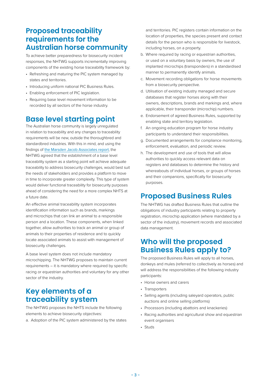## **Proposed traceability requirements for the Australian horse community**

To achieve better preparedness for biosecurity incident responses, the NHTWG supports incrementally improving components of the existing horse traceability framework by:

- Refreshing and maturing the PIC system managed by states and territories.
- Introducing uniform national PIC Business Rules.
- Enabling enforcement of PIC legislation.
- Requiring base level movement information to be recorded by all sectors of the horse industry.

## **Base level starting point**

The Australian horse community is largely unregulated in relation to traceability and any changes to traceability requirements will be new, outside the thoroughbred and standardbred industries. With this in mind, and using the findings of [the Marsden Jacob Associates report](https://agriculture.vic.gov.au/__data/assets/pdf_file/0019/834211/Marsden-Jacob-DJPR-Horse-Traceability-Systems-Report.pdf), the NHTWG agreed that the establishment of a base level traceability system as a starting point will achieve adequate traceability to address biosecurity challenges, would best suit the needs of stakeholders and provides a platform to move in time to incorporate greater complexity. This type of system would deliver functional traceability for biosecurity purposes ahead of considering the need for a more complex NHTS at a future date.

An effective animal traceability system incorporates identification information such as brands, markings and microchips that can link an animal to a responsible person and a location. These components, when linked together, allow authorities to track an animal or group of animals to their properties of residence and to quickly locate associated animals to assist with management of biosecurity challenges.

A base level system does not include mandatory microchipping. The NHTWG proposes to maintain current requirements – it is mandatory where required by specific racing or equestrian authorities and voluntary for any other sector of the industry.

## **Key elements of a traceability system**

The NHTWG proposes the NHTS include the following elements to achieve biosecurity objectives:

a. Adoption of the PIC system administered by the states

and territories. PIC registers contain information on the location of properties, the species present and contact details for the person who is responsible for livestock, including horses, on a property.

- b. Where required by racing or equestrian authorities, or used on a voluntary basis by owners, the use of implanted microchips (transponders) in a standardised manner to permanently identify animals.
- c. Movement recording obligations for horse movements from a biosecurity perspective.
- d. Utilisation of existing industry managed and secure databases that register horses along with their owners, descriptions, brands and markings and, where applicable, their transponder (microchip) numbers.
- e. Endorsement of agreed Business Rules, supported by enabling state and territory legislation.
- f. An ongoing education program for horse industry participants to understand their responsibilities.
- g. Documented arrangements for compliance monitoring, enforcement, evaluation, and periodic review.
- h. The development and use of tools that will allow authorities to quickly access relevant data on registers and databases to determine the history and whereabouts of individual horses, or groups of horses and their companions, specifically for biosecurity purposes.

## **Proposed Business Rules**

The NHTWG has drafted Business Rules that outline the obligations of industry participants relating to property registration, microchip application (where mandated by a sector of the industry), movement records and associated data management.

## **Who will the proposed Business Rules apply to?**

The proposed Business Rules will apply to all horses, donkeys and mules (referred to collectively as horses) and will address the responsibilities of the following industry participants:

- Horse owners and carers
- Transporters
- Selling agents (including saleyard operators, public auctions and online selling platforms)
- Processors (including abattoirs and knackeries)
- Racing authorities and agricultural show and equestrian event organisers
- Studs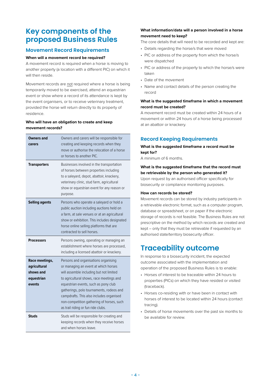## **Key components of the proposed Business Rules**

#### **Movement Record Requirements**

#### **When will a movement record be required?**

A movement record is required when a horse is moving to another property (a location with a different PIC) on which it will then reside.

Movement records are not required where a horse is being temporarily moved to be exercised, attend an equestrian event or show where a record of its attendance is kept by the event organisers, or to receive veterinary treatment, provided the horse will return directly to its property of residence.

#### **Who will have an obligation to create and keep movement records?**

| Owners and<br>carers                                                | Owners and carers will be responsible for<br>creating and keeping records when they<br>move or authorise the relocation of a horse<br>or horses to another PIC.                                                                                                                                                                                                                        |
|---------------------------------------------------------------------|----------------------------------------------------------------------------------------------------------------------------------------------------------------------------------------------------------------------------------------------------------------------------------------------------------------------------------------------------------------------------------------|
| <b>Transporters</b>                                                 | Businesses involved in the transportation<br>of horses between properties including<br>to a saleyard, depot, abattoir, knackery,<br>veterinary clinic, stud farm, agricultural<br>show or equestrian event for any reason or<br>purpose.                                                                                                                                               |
| <b>Selling agents</b>                                               | Persons who operate a saleyard or hold a<br>public auction including auctions held on<br>a farm, at sale venues or at an agricultural<br>show or exhibition. This includes designated<br>horse online selling platforms that are<br>contracted to sell horses.                                                                                                                         |
| <b>Processors</b>                                                   | Persons owning, operating or managing an<br>establishment where horses are processed,<br>including a licensed abattoir or knackery.                                                                                                                                                                                                                                                    |
| Race meetings,<br>agricultural<br>shows and<br>equestrian<br>events | Persons and organisations organising<br>or managing an event at which horses<br>will assemble including but not limited<br>to agricultural shows, race meetings and<br>equestrian events, such as pony club<br>gatherings, polo tournaments, rodeos and<br>campdrafts. This also includes organised<br>non-competition gathering of horses, such<br>as trail riding or fun ride clubs. |
| <b>Studs</b>                                                        | Studs will be responsible for creating and<br>keeping records when they receive horses<br>and when horses leave                                                                                                                                                                                                                                                                        |

#### **What information/data will a person involved in a horse movement need to keep?**

The core details that will need to be recorded and kept are:

- Details regarding the horse/s that were moved
- PIC or address of the property from which the horse/s were dispatched
- PIC or address of the property to which the horse/s were taken
- Date of the movement
- Name and contact details of the person creating the record

#### **What is the suggested timeframe in which a movement record must be created?**

A movement record must be created within 24 hours of a movement or within 24 hours of a horse being processed at an abattoir or knackery.

#### **Record Keeping Requirements**

**What is the suggested timeframe a record must be kept for?**

A minimum of 6 months.

#### **What is the suggested timeframe that the record must be retrievable by the person who generated it?**

Upon request by an authorised officer specifically for biosecurity or compliance monitoring purposes.

#### **How can records be stored?**

Movement records can be stored by industry participants in a retrievable electronic format, such as a computer program, database or spreadsheet, or on paper if the electronic storage of records is not feasible. The Business Rules are not prescriptive on the method by which records are created and kept – only that they must be retrievable if requested by an authorised state/territory biosecurity officer.

## **Traceability outcome**

In response to a biosecurity incident, the expected outcome associated with the implementation and operation of the proposed Business Rules is to enable:

- Horses of interest to be traceable within 24 hours to properties (PICs) on which they have resided or visited (traceback).
- Horses co-residing with or have been in contact with horses of interest to be located within 24 hours (contact tracing).
- Details of horse movements over the past six months to be available for review.